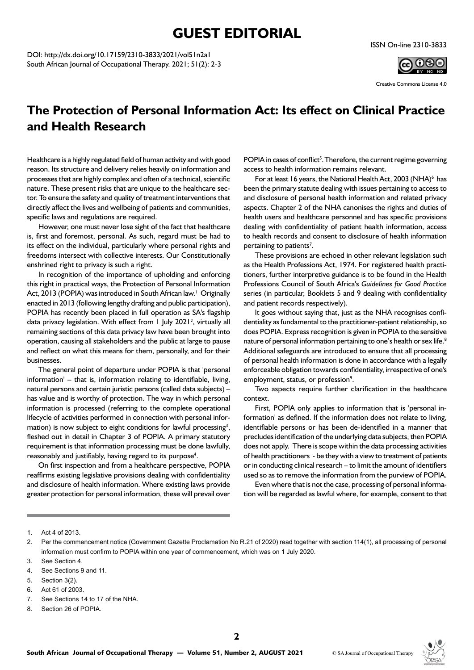## **GUEST EDITORIAL**

DOI: [http://dx.doi.org/10.17159/2310-3833/2021/vol51n](http://dx.doi.org/10.17159/2310-3833/2021/vol51n2a)2a1 South African Journal of Occupational Therapy. 2021; 51(2): 2-3



Creative Commons License 4.0

## **The Protection of Personal Information Act: Its effect on Clinical Practice and Health Research**

Healthcare is a highly regulated field of human activity and with good reason. Its structure and delivery relies heavily on information and processes that are highly complex and often of a technical, scientific nature. These present risks that are unique to the healthcare sector. To ensure the safety and quality of treatment interventions that directly affect the lives and wellbeing of patients and communities, specific laws and regulations are required.

However, one must never lose sight of the fact that healthcare is, first and foremost, personal. As such, regard must be had to its effect on the individual, particularly where personal rights and freedoms intersect with collective interests. Our Constitutionally enshrined right to privacy is such a right.

In recognition of the importance of upholding and enforcing this right in practical ways, the Protection of Personal Information Act, 2013 (POPIA) was introduced in South African law.<sup>1</sup> Originally enacted in 2013 (following lengthy drafting and public participation), POPIA has recently been placed in full operation as SA's flagship data privacy legislation. With effect from 1 July 2021<sup>2</sup>, virtually all remaining sections of this data privacy law have been brought into operation, causing all stakeholders and the public at large to pause and reflect on what this means for them, personally, and for their businesses.

The general point of departure under POPIA is that 'personal information' – that is, information relating to identifiable, living, natural persons and certain juristic persons (called data subjects) – has value and is worthy of protection. The way in which personal information is processed (referring to the complete operational lifecycle of activities performed in connection with personal information) is now subject to eight conditions for lawful processing<sup>3</sup>, fleshed out in detail in Chapter 3 of POPIA. A primary statutory requirement is that information processing must be done lawfully, reasonably and justifiably, having regard to its purpose<sup>4</sup>.

On first inspection and from a healthcare perspective, POPIA reaffirms existing legislative provisions dealing with confidentiality and disclosure of health information. Where existing laws provide greater protection for personal information, these will prevail over

POPIA in cases of conflict<sup>5</sup>. Therefore, the current regime governing access to health information remains relevant.

For at least 16 years, the National Health Act, 2003 (NHA)<sup>6</sup> has been the primary statute dealing with issues pertaining to access to and disclosure of personal health information and related privacy aspects. Chapter 2 of the NHA canonises the rights and duties of health users and healthcare personnel and has specific provisions dealing with confidentiality of patient health information, access to health records and consent to disclosure of health information pertaining to patients<sup>7</sup>.

These provisions are echoed in other relevant legislation such as the Health Professions Act, 1974. For registered health practitioners, further interpretive guidance is to be found in the Health Professions Council of South Africa's *Guidelines for Good Practice*  series (in particular, Booklets 5 and 9 dealing with confidentiality and patient records respectively).

It goes without saying that, just as the NHA recognises confidentiality as fundamental to the practitioner-patient relationship, so does POPIA. Express recognition is given in POPIA to the sensitive nature of personal information pertaining to one's health or sex life.<sup>8</sup> Additional safeguards are introduced to ensure that all processing of personal health information is done in accordance with a legally enforceable obligation towards confidentiality, irrespective of one's employment, status, or profession<sup>9</sup>.

Two aspects require further clarification in the healthcare context.

First, POPIA only applies to information that is 'personal information' as defined. If the information does not relate to living, identifiable persons or has been de-identified in a manner that precludes identification of the underlying data subjects, then POPIA does not apply. There is scope within the data processing activities of health practitioners - be they with a view to treatment of patients or in conducting clinical research – to limit the amount of identifiers used so as to remove the information from the purview of POPIA.

Even where that is not the case, processing of personal information will be regarded as lawful where, for example, consent to that

- 5. Section 3(2).
- 6. Act 61 of 2003.
- 7. See Sections 14 to 17 of the NHA.
- 8. Section 26 of POPIA.



<sup>1.</sup> Act 4 of 2013.

<sup>2.</sup> Per the commencement notice (Government Gazette Proclamation No R.21 of 2020) read together with section 114(1), all processing of personal information must confirm to POPIA within one year of commencement, which was on 1 July 2020.

<sup>3.</sup> See Section 4.

<sup>4.</sup> See Sections 9 and 11.